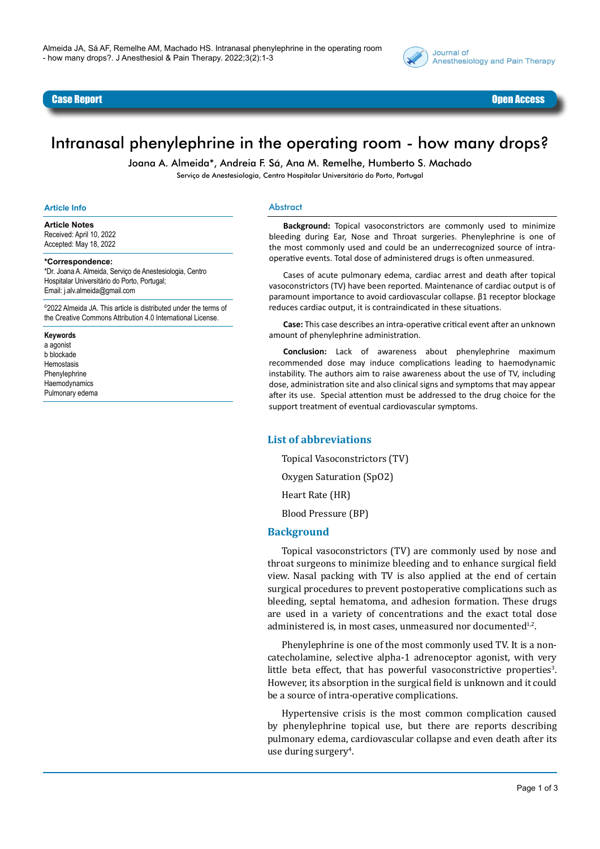



# Intranasal phenylephrine in the operating room - how many drops?

Joana A. Almeida\*, Andreia F. Sá, Ana M. Remelhe, Humberto S. Machado Serviço de Anestesiologia, Centro Hospitalar Universitário do Porto, Portugal

#### **Article Info**

**Article Notes**

Received: April 10, 2022 Accepted: May 18, 2022

#### **\*Correspondence:**

\*Dr. Joana A. Almeida, Serviço de Anestesiologia, Centro Hospitalar Universitário do Porto, Portugal; Email: j.alv.almeida@gmail.com

©2022 Almeida JA. This article is distributed under the terms of the Creative Commons Attribution 4.0 International License.

**Keywords**

a agonist b blockade Hemostasis Phenylephrine **Haemodynamics** Pulmonary edema

#### Abstract

**Background:** Topical vasoconstrictors are commonly used to minimize bleeding during Ear, Nose and Throat surgeries. Phenylephrine is one of the most commonly used and could be an underrecognized source of intraoperative events. Total dose of administered drugs is often unmeasured.

Cases of acute pulmonary edema, cardiac arrest and death after topical vasoconstrictors (TV) have been reported. Maintenance of cardiac output is of paramount importance to avoid cardiovascular collapse. β1 receptor blockage reduces cardiac output, it is contraindicated in these situations.

**Case:** This case describes an intra-operative critical event after an unknown amount of phenylephrine administration.

**Conclusion:** Lack of awareness about phenylephrine maximum recommended dose may induce complications leading to haemodynamic instability. The authors aim to raise awareness about the use of TV, including dose, administration site and also clinical signs and symptoms that may appear after its use. Special attention must be addressed to the drug choice for the support treatment of eventual cardiovascular symptoms.

#### **List of abbreviations**

Topical Vasoconstrictors (TV) Oxygen Saturation (SpO2) Heart Rate (HR)

Blood Pressure (BP)

#### **Background**

Topical vasoconstrictors (TV) are commonly used by nose and throat surgeons to minimize bleeding and to enhance surgical field view. Nasal packing with TV is also applied at the end of certain surgical procedures to prevent postoperative complications such as bleeding, septal hematoma, and adhesion formation. These drugs are used in a variety of concentrations and the exact total dose administered is, in most cases, unmeasured nor documented $1,2$ .

Phenylephrine is one of the most commonly used TV. It is a noncatecholamine, selective alpha-1 adrenoceptor agonist, with very little beta effect, that has powerful vasoconstrictive properties<sup>3</sup>. However, its absorption in the surgical field is unknown and it could be a source of intra-operative complications.

Hypertensive crisis is the most common complication caused by phenylephrine topical use, but there are reports describing pulmonary edema, cardiovascular collapse and even death after its use during surgery<sup>4</sup>.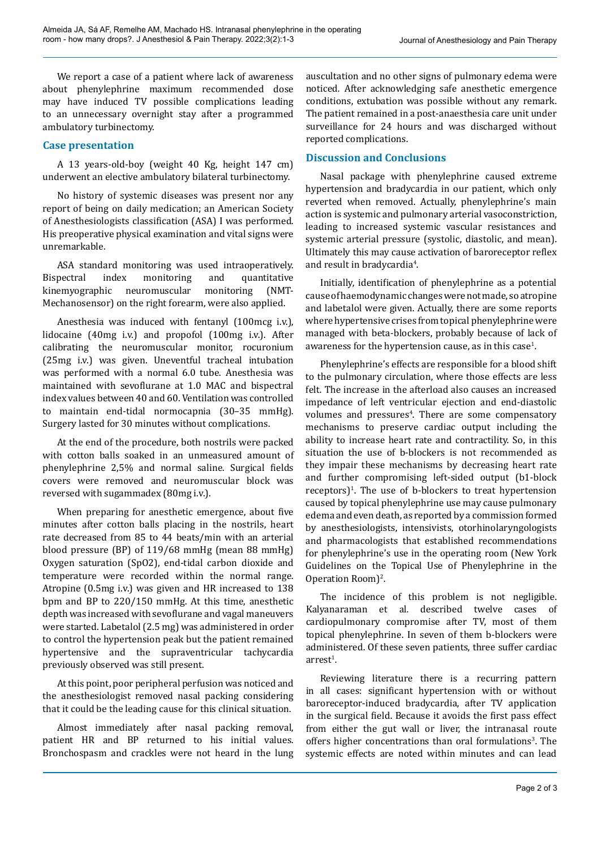We report a case of a patient where lack of awareness about phenylephrine maximum recommended dose may have induced TV possible complications leading to an unnecessary overnight stay after a programmed ambulatory turbinectomy.

## **Case presentation**

A 13 years-old-boy (weight 40 Kg, height 147 cm) underwent an elective ambulatory bilateral turbinectomy.

No history of systemic diseases was present nor any report of being on daily medication; an American Society of Anesthesiologists classification (ASA) I was performed. His preoperative physical examination and vital signs were unremarkable.

ASA standard monitoring was used intraoperatively.<br>Bispectral index monitoring and quantitative quantitative kinemyographic neuromuscular monitoring (NMT-Mechanosensor) on the right forearm, were also applied.

Anesthesia was induced with fentanyl (100mcg i.v.), lidocaine (40mg i.v.) and propofol (100mg i.v.). After calibrating the neuromuscular monitor, rocuronium (25mg i.v.) was given. Uneventful tracheal intubation was performed with a normal 6.0 tube. Anesthesia was maintained with sevoflurane at 1.0 MAC and bispectral index values between 40 and 60. Ventilation was controlled to maintain end-tidal normocapnia (30–35 mmHg). Surgery lasted for 30 minutes without complications.

At the end of the procedure, both nostrils were packed with cotton balls soaked in an unmeasured amount of phenylephrine 2,5% and normal saline. Surgical fields covers were removed and neuromuscular block was reversed with sugammadex (80mg i.v.).

When preparing for anesthetic emergence, about five minutes after cotton balls placing in the nostrils, heart rate decreased from 85 to 44 beats/min with an arterial blood pressure (BP) of 119/68 mmHg (mean 88 mmHg) Oxygen saturation (SpO2), end-tidal carbon dioxide and temperature were recorded within the normal range. Atropine (0.5mg i.v.) was given and HR increased to 138 bpm and BP to 220/150 mmHg. At this time, anesthetic depth was increased with sevoflurane and vagal maneuvers were started. Labetalol (2.5 mg) was administered in order to control the hypertension peak but the patient remained hypertensive and the supraventricular tachycardia previously observed was still present.

At this point, poor peripheral perfusion was noticed and the anesthesiologist removed nasal packing considering that it could be the leading cause for this clinical situation.

Almost immediately after nasal packing removal, patient HR and BP returned to his initial values. Bronchospasm and crackles were not heard in the lung auscultation and no other signs of pulmonary edema were noticed. After acknowledging safe anesthetic emergence conditions, extubation was possible without any remark. The patient remained in a post-anaesthesia care unit under surveillance for 24 hours and was discharged without reported complications.

# **Discussion and Conclusions**

Nasal package with phenylephrine caused extreme hypertension and bradycardia in our patient, which only reverted when removed. Actually, phenylephrine's main action is systemic and pulmonary arterial vasoconstriction, leading to increased systemic vascular resistances and systemic arterial pressure (systolic, diastolic, and mean). Ultimately this may cause activation of baroreceptor reflex and result in bradycardia<sup>4</sup>.

Initially, identification of phenylephrine as a potential cause of haemodynamic changes were not made, so atropine and labetalol were given. Actually, there are some reports where hypertensive crises from topical phenylephrine were managed with beta-blockers, probably because of lack of awareness for the hypertension cause, as in this case $^1$ .

Phenylephrine's effects are responsible for a blood shift to the pulmonary circulation, where those effects are less felt. The increase in the afterload also causes an increased impedance of left ventricular ejection and end-diastolic volumes and pressures<sup>4</sup>. There are some compensatory mechanisms to preserve cardiac output including the ability to increase heart rate and contractility. So, in this situation the use of b-blockers is not recommended as they impair these mechanisms by decreasing heart rate and further compromising left-sided output (b1-block  $receptors$ <sup> $1$ </sup>. The use of b-blockers to treat hypertension caused by topical phenylephrine use may cause pulmonary edema and even death, as reported by a commission formed by anesthesiologists, intensivists, otorhinolaryngologists and pharmacologists that established recommendations for phenylephrine's use in the operating room (New York Guidelines on the Topical Use of Phenylephrine in the Operation Room)<sup>2</sup>.

The incidence of this problem is not negligible. Kalyanaraman et al*.* described twelve cases of cardiopulmonary compromise after TV, most of them topical phenylephrine. In seven of them b-blockers were administered. Of these seven patients, three suffer cardiac arrest<sup>1</sup>.

Reviewing literature there is a recurring pattern in all cases: significant hypertension with or without baroreceptor-induced bradycardia, after TV application in the surgical field. Because it avoids the first pass effect from either the gut wall or liver, the intranasal route offers higher concentrations than oral formulations<sup>3</sup>. The systemic effects are noted within minutes and can lead